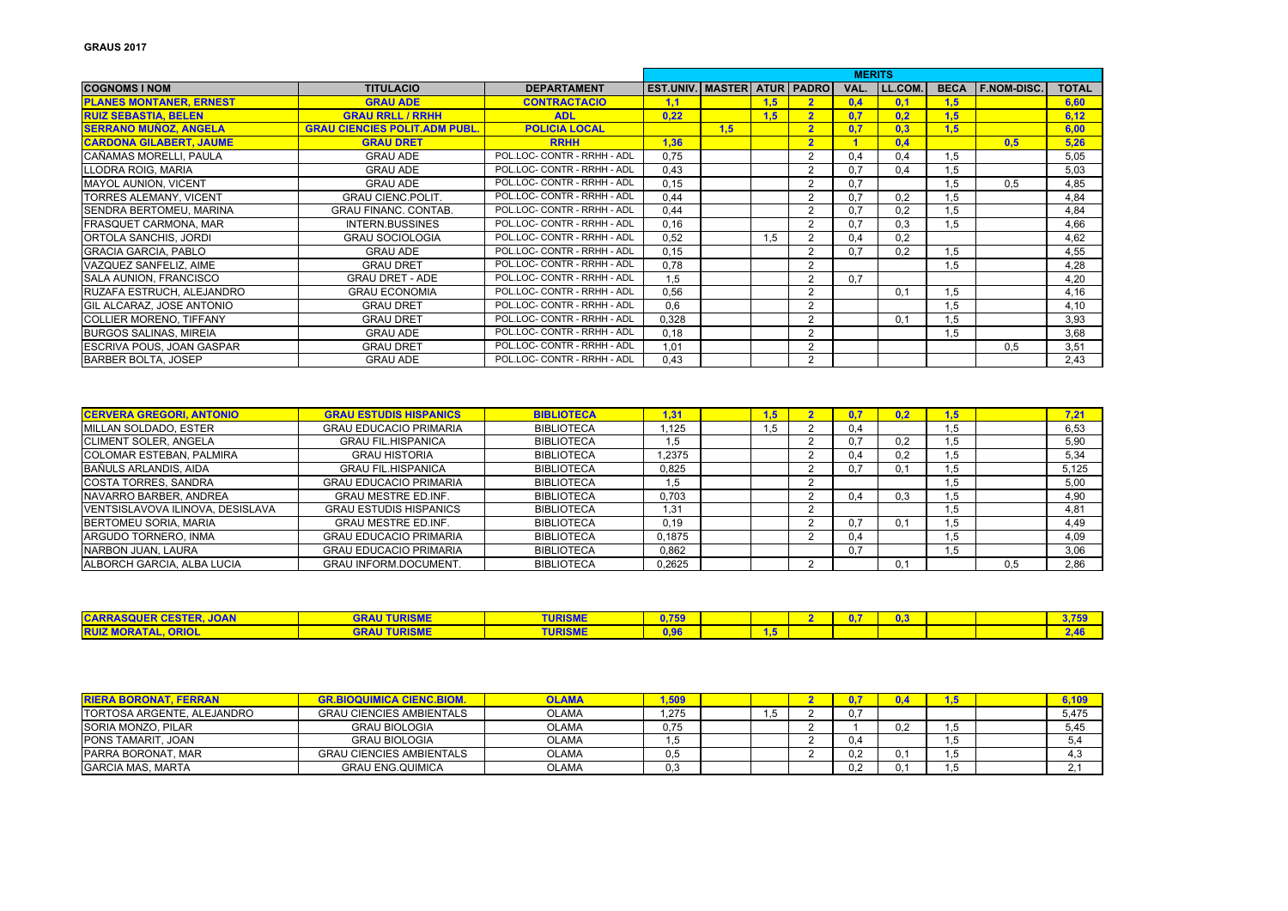|                                  |                                      |                             |                                    |     |     |                         | <b>MERITS</b> |         |             |                    |              |
|----------------------------------|--------------------------------------|-----------------------------|------------------------------------|-----|-----|-------------------------|---------------|---------|-------------|--------------------|--------------|
| <b>COGNOMS I NOM</b>             | <b>TITULACIO</b>                     | <b>DEPARTAMENT</b>          | <b>EST.UNIV. MASTER ATUR PADRO</b> |     |     |                         | VAL.          | LL.COM. | <b>BECA</b> | <b>F.NOM-DISC.</b> | <b>TOTAL</b> |
| <b>PLANES MONTANER, ERNEST</b>   | <b>GRAU ADE</b>                      | <b>CONTRACTACIO</b>         | 1,1                                |     | 1.5 | $\overline{2}$          | 0.4           | 0.1     | 1.5         |                    | 6,60         |
| <b>RUIZ SEBASTIA, BELEN</b>      | <b>GRAU RRLL / RRHH</b>              | <b>ADL</b>                  | 0.22                               |     | 1.5 | $\overline{\mathbf{2}}$ | 0.7           | 0.2     | 1.5         |                    | 6.12         |
| <b>SERRANO MUÑOZ, ANGELA</b>     | <b>GRAU CIENCIES POLIT.ADM PUBL.</b> | <b>POLICIA LOCAL</b>        |                                    | 1.5 |     | $\overline{2}$          | 0.7           | 0,3     | 1,5         |                    | 6.00         |
| <b>CARDONA GILABERT, JAUME</b>   | <b>GRAU DRET</b>                     | <b>RRHH</b>                 | 1.36                               |     |     | $\overline{2}$          |               | 0.4     |             | 0.5                | 5,26         |
| İCAÑAMAS MORELLI. PAULA          | <b>GRAU ADE</b>                      | POL.LOC- CONTR - RRHH - ADL | 0.75                               |     |     | $\overline{2}$          | 0.4           | 0.4     | 1.5         |                    | 5,05         |
| LLODRA ROIG, MARIA               | <b>GRAU ADE</b>                      | POL.LOC- CONTR - RRHH - ADL | 0,43                               |     |     |                         | 0.7           | 0,4     | 1,5         |                    | 5,03         |
| <b>IMAYOL AUNION, VICENT</b>     | <b>GRAU ADE</b>                      | POL.LOC- CONTR - RRHH - ADL | 0.15                               |     |     | ◠                       | 0.7           |         | 1,5         | 0.5                | 4,85         |
| <b>TORRES ALEMANY, VICENT</b>    | <b>GRAU CIENC.POLIT.</b>             | POL.LOC- CONTR - RRHH - ADL | 0,44                               |     |     |                         | 0,7           | 0,2     | 1,5         |                    | 4,84         |
| <b>ISENDRA BERTOMEU. MARINA</b>  | <b>GRAU FINANC, CONTAB.</b>          | POL.LOC- CONTR - RRHH - ADL | 0.44                               |     |     |                         | 0.7           | 0,2     | 1.5         |                    | 4,84         |
| <b>FRASQUET CARMONA, MAR</b>     | <b>INTERN.BUSSINES</b>               | POL.LOC- CONTR - RRHH - ADL | 0.16                               |     |     | 2                       | 0.7           | 0,3     | 1,5         |                    | 4.66         |
| <b>ORTOLA SANCHIS, JORDI</b>     | <b>GRAU SOCIOLOGIA</b>               | POL.LOC- CONTR - RRHH - ADL | 0.52                               |     | 1.5 | $\overline{c}$          | 0.4           | 0.2     |             |                    | 4.62         |
| <b>GRACIA GARCIA, PABLO</b>      | <b>GRAU ADE</b>                      | POL.LOC- CONTR - RRHH - ADL | 0.15                               |     |     | $\overline{c}$          | 0.7           | 0.2     | 1,5         |                    | 4,55         |
| VAZQUEZ SANFELIZ, AIME           | <b>GRAU DRET</b>                     | POL.LOC- CONTR - RRHH - ADL | 0,78                               |     |     | $\overline{2}$          |               |         | 1,5         |                    | 4,28         |
| <b>SALA AUNION, FRANCISCO</b>    | <b>GRAU DRET - ADE</b>               | POL.LOC- CONTR - RRHH - ADL | 1.5                                |     |     | ◠                       | 0,7           |         |             |                    | 4,20         |
| RUZAFA ESTRUCH. ALEJANDRO        | <b>GRAU ECONOMIA</b>                 | POL.LOC- CONTR - RRHH - ADL | 0.56                               |     |     | $\overline{2}$          |               | 0.1     | 1.5         |                    | 4,16         |
| <b>GIL ALCARAZ, JOSE ANTONIO</b> | <b>GRAU DRET</b>                     | POL.LOC- CONTR - RRHH - ADL | 0.6                                |     |     | 2                       |               |         | 1,5         |                    | 4,10         |
| <b>COLLIER MORENO, TIFFANY</b>   | <b>GRAU DRET</b>                     | POL.LOC- CONTR - RRHH - ADL | 0.328                              |     |     | $\overline{2}$          |               | 0.1     | 1.5         |                    | 3,93         |
| <b>BURGOS SALINAS, MIREIA</b>    | <b>GRAU ADE</b>                      | POL.LOC- CONTR - RRHH - ADL | 0.18                               |     |     | $\overline{2}$          |               |         | 1.5         |                    | 3,68         |
| <b>ESCRIVA POUS. JOAN GASPAR</b> | <b>GRAU DRET</b>                     | POL.LOC- CONTR - RRHH - ADL | 1.01                               |     |     | $\overline{2}$          |               |         |             | 0.5                | 3.51         |
| <b>BARBER BOLTA, JOSEP</b>       | <b>GRAU ADE</b>                      | POL.LOC- CONTR - RRHH - ADL | 0,43                               |     |     | $\overline{2}$          |               |         |             |                    | 2,43         |

| <b>CERVERA GREGORI, ANTONIO</b>  | <b>GRAU ESTUDIS HISPANICS</b> | <b>BIBLIOTECA</b> | 1.31   | .5   |               | 0.2 |      |     | 7.21  |
|----------------------------------|-------------------------------|-------------------|--------|------|---------------|-----|------|-----|-------|
| MILLAN SOLDADO, ESTER            | <b>GRAU EDUCACIO PRIMARIA</b> | <b>BIBLIOTECA</b> | 1.125  | C. I | 0.4           |     | 1,5  |     | 6,53  |
| <b>ICLIMENT SOLER. ANGELA</b>    | <b>GRAU FIL.HISPANICA</b>     | <b>BIBLIOTECA</b> | 1.5    |      | 0.7           | 0.2 | 1.5  |     | 5,90  |
| <b>COLOMAR ESTEBAN, PALMIRA</b>  | <b>GRAU HISTORIA</b>          | <b>BIBLIOTECA</b> | 1.2375 |      | 0.4           | 0,2 | 1.5  |     | 5,34  |
| BAÑULS ARLANDIS, AIDA            | <b>GRAU FIL HISPANICA</b>     | <b>BIBLIOTECA</b> | 0.825  |      | 0.7           | 0.1 | 1.5  |     | 5,125 |
| COSTA TORRES, SANDRA             | <b>GRAU EDUCACIO PRIMARIA</b> | <b>BIBLIOTECA</b> | 1.5    |      |               |     | 5. ا |     | 5,00  |
| NAVARRO BARBER, ANDREA           | <b>GRAU MESTRE ED.INF.</b>    | <b>BIBLIOTECA</b> | 0.703  |      | 0.4           | 0.3 | .5   |     | 4.90  |
| VENTSISLAVOVA ILINOVA, DESISLAVA | <b>GRAU ESTUDIS HISPANICS</b> | <b>BIBLIOTECA</b> | 1.31   |      |               |     | I.5  |     | 4,81  |
| BERTOMEU SORIA, MARIA            | <b>GRAU MESTRE ED.INF.</b>    | <b>BIBLIOTECA</b> | 0.19   |      | 0.7           | 0.1 | .5   |     | 4,49  |
| ARGUDO TORNERO. INMA             | <b>GRAU EDUCACIO PRIMARIA</b> | <b>BIBLIOTECA</b> | 0.1875 |      | $0.4^{\circ}$ |     | .5   |     | 4.09  |
| NARBON JUAN, LAURA               | <b>GRAU EDUCACIO PRIMARIA</b> | <b>BIBLIOTECA</b> | 0.862  |      | 0.7           |     | .5   |     | 3,06  |
| ALBORCH GARCIA, ALBA LUCIA       | <b>GRAU INFORM.DOCUMENT.</b>  | <b>BIBLIOTECA</b> | 0,2625 |      |               | 0.1 |      | 0.5 | 2,86  |

| <b>CARRASQUER CESTER, JOAN</b> | <b>TURISME</b> | <b>URISME</b> | 7.750      |  |  | n g<br>U. J |  |  |
|--------------------------------|----------------|---------------|------------|--|--|-------------|--|--|
| <b>RUIZ MORATAL, ORIOL</b>     | <b>TURISME</b> | <b>URISME</b> | <b>SOC</b> |  |  |             |  |  |

| <b>RIERA BORONAT, FERRAN</b> | <b>GR.BIOQUIMICA CIENC.BIOM.</b> | <b>OLAMA</b> | .509 |     |     | 0.4 |      | 6,109 |
|------------------------------|----------------------------------|--------------|------|-----|-----|-----|------|-------|
| TORTOSA ARGENTE. ALEJANDRO   | <b>GRAU CIENCIES AMBIENTALS</b>  | <b>OLAMA</b> | .275 | ں ا | 0.7 |     |      | 5.475 |
| <b>SORIA MONZO, PILAR</b>    | <b>GRAU BIOLOGIA</b>             | OLAMA        | 0.75 |     |     | 0,2 |      | 5.45  |
| <b>PONS TAMARIT, JOAN</b>    | <b>GRAU BIOLOGIA</b>             | <b>OLAMA</b> |      |     | 0.4 |     | ں, ا |       |
| <b>PARRA BORONAT, MAR</b>    | <b>GRAU CIENCIES AMBIENTALS</b>  | <b>OLAMA</b> | 0,5  |     | 0,2 | 0.1 | ن, ا |       |
| <b>GARCIA MAS, MARTA</b>     | <b>GRAU ENG.QUIMICA</b>          | OLAMA        | 0,3  |     | 0,2 | 0.1 |      |       |